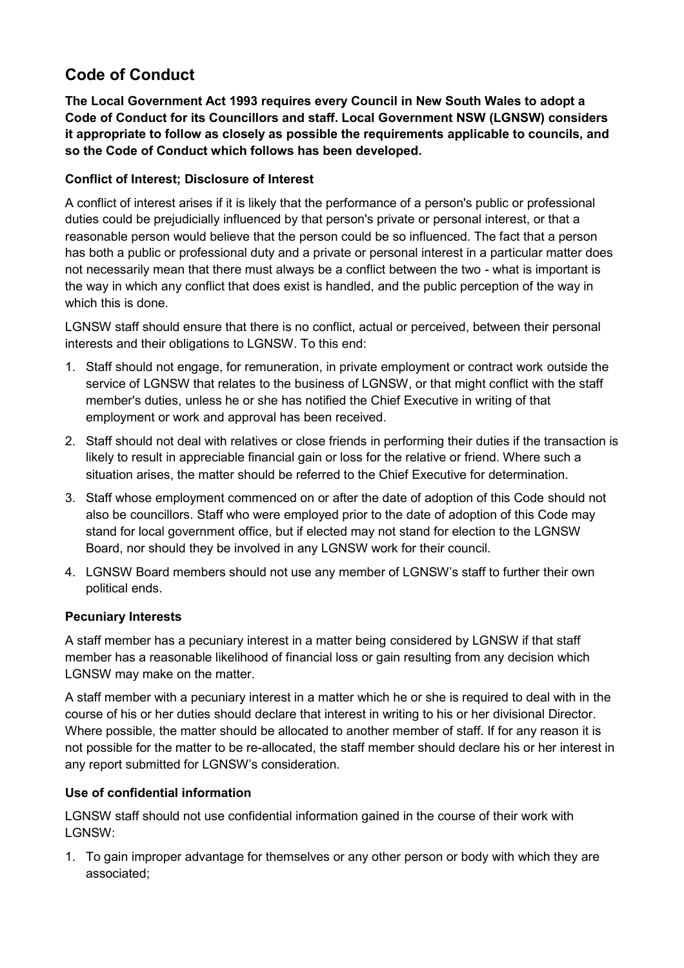# **Code of Conduct**

**The Local Government Act 1993 requires every Council in New South Wales to adopt a Code of Conduct for its Councillors and staff. Local Government NSW (LGNSW) considers it appropriate to follow as closely as possible the requirements applicable to councils, and so the Code of Conduct which follows has been developed.**

# **Conflict of Interest; Disclosure of Interest**

A conflict of interest arises if it is likely that the performance of a person's public or professional duties could be prejudicially influenced by that person's private or personal interest, or that a reasonable person would believe that the person could be so influenced. The fact that a person has both a public or professional duty and a private or personal interest in a particular matter does not necessarily mean that there must always be a conflict between the two - what is important is the way in which any conflict that does exist is handled, and the public perception of the way in which this is done.

LGNSW staff should ensure that there is no conflict, actual or perceived, between their personal interests and their obligations to LGNSW. To this end:

- 1. Staff should not engage, for remuneration, in private employment or contract work outside the service of LGNSW that relates to the business of LGNSW, or that might conflict with the staff member's duties, unless he or she has notified the Chief Executive in writing of that employment or work and approval has been received.
- 2. Staff should not deal with relatives or close friends in performing their duties if the transaction is likely to result in appreciable financial gain or loss for the relative or friend. Where such a situation arises, the matter should be referred to the Chief Executive for determination.
- 3. Staff whose employment commenced on or after the date of adoption of this Code should not also be councillors. Staff who were employed prior to the date of adoption of this Code may stand for local government office, but if elected may not stand for election to the LGNSW Board, nor should they be involved in any LGNSW work for their council.
- 4. LGNSW Board members should not use any member of LGNSW's staff to further their own political ends.

# **Pecuniary Interests**

A staff member has a pecuniary interest in a matter being considered by LGNSW if that staff member has a reasonable likelihood of financial loss or gain resulting from any decision which LGNSW may make on the matter.

A staff member with a pecuniary interest in a matter which he or she is required to deal with in the course of his or her duties should declare that interest in writing to his or her divisional Director. Where possible, the matter should be allocated to another member of staff. If for any reason it is not possible for the matter to be re-allocated, the staff member should declare his or her interest in any report submitted for LGNSW's consideration.

# **Use of confidential information**

LGNSW staff should not use confidential information gained in the course of their work with LGNSW:

1. To gain improper advantage for themselves or any other person or body with which they are associated;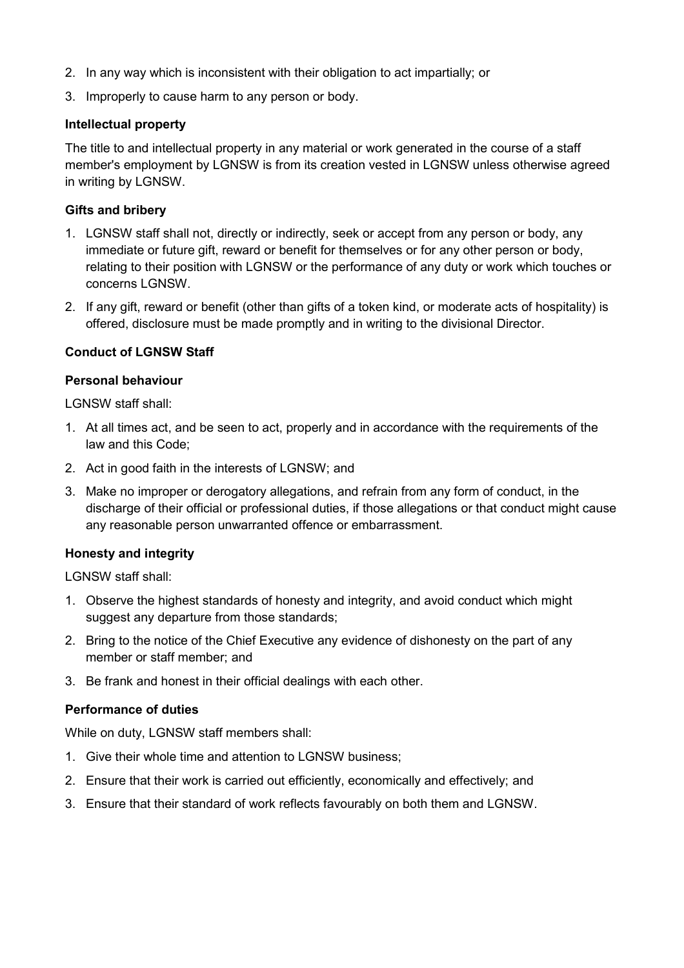- 2. In any way which is inconsistent with their obligation to act impartially; or
- 3. Improperly to cause harm to any person or body.

## **Intellectual property**

The title to and intellectual property in any material or work generated in the course of a staff member's employment by LGNSW is from its creation vested in LGNSW unless otherwise agreed in writing by LGNSW.

## **Gifts and bribery**

- 1. LGNSW staff shall not, directly or indirectly, seek or accept from any person or body, any immediate or future gift, reward or benefit for themselves or for any other person or body, relating to their position with LGNSW or the performance of any duty or work which touches or concerns LGNSW.
- 2. If any gift, reward or benefit (other than gifts of a token kind, or moderate acts of hospitality) is offered, disclosure must be made promptly and in writing to the divisional Director.

# **Conduct of LGNSW Staff**

## **Personal behaviour**

LGNSW staff shall:

- 1. At all times act, and be seen to act, properly and in accordance with the requirements of the law and this Code;
- 2. Act in good faith in the interests of LGNSW; and
- 3. Make no improper or derogatory allegations, and refrain from any form of conduct, in the discharge of their official or professional duties, if those allegations or that conduct might cause any reasonable person unwarranted offence or embarrassment.

# **Honesty and integrity**

LGNSW staff shall:

- 1. Observe the highest standards of honesty and integrity, and avoid conduct which might suggest any departure from those standards;
- 2. Bring to the notice of the Chief Executive any evidence of dishonesty on the part of any member or staff member; and
- 3. Be frank and honest in their official dealings with each other.

#### **Performance of duties**

While on duty, LGNSW staff members shall:

- 1. Give their whole time and attention to LGNSW business;
- 2. Ensure that their work is carried out efficiently, economically and effectively; and
- 3. Ensure that their standard of work reflects favourably on both them and LGNSW.